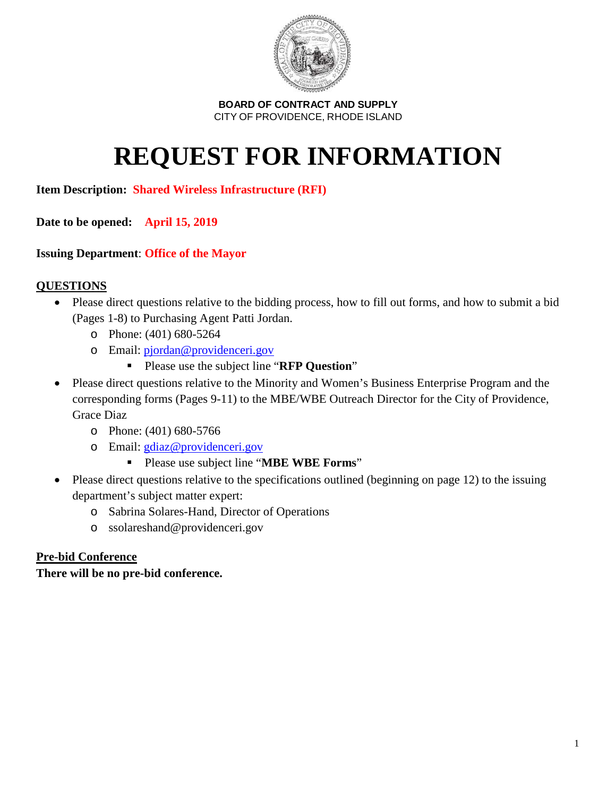

# **REQUEST FOR INFORMATION**

# **Item Description: Shared Wireless Infrastructure (RFI)**

**Date to be opened: April 15, 2019**

# **Issuing Department**: **Office of the Mayor**

# **QUESTIONS**

- Please direct questions relative to the bidding process, how to fill out forms, and how to submit a bid (Pages 1-8) to Purchasing Agent Patti Jordan.
	- o Phone: (401) 680-5264
	- o Email: [pjordan@providenceri.gov](mailto:pjordan@providenceri.gov)
		- Please use the subject line "**RFP Question**"
- Please direct questions relative to the Minority and Women's Business Enterprise Program and the corresponding forms (Pages 9-11) to the MBE/WBE Outreach Director for the City of Providence, Grace Diaz
	- o Phone: (401) 680-5766
	- o Email: [gdiaz@providenceri.gov](mailto:gdiaz@providenceri.gov)
		- Please use subject line "**MBE WBE Forms**"
- Please direct questions relative to the specifications outlined (beginning on page 12) to the issuing department's subject matter expert:
	- o Sabrina Solares-Hand, Director of Operations
	- o ssolareshand@providenceri.gov

## **Pre-bid Conference**

**There will be no pre-bid conference.**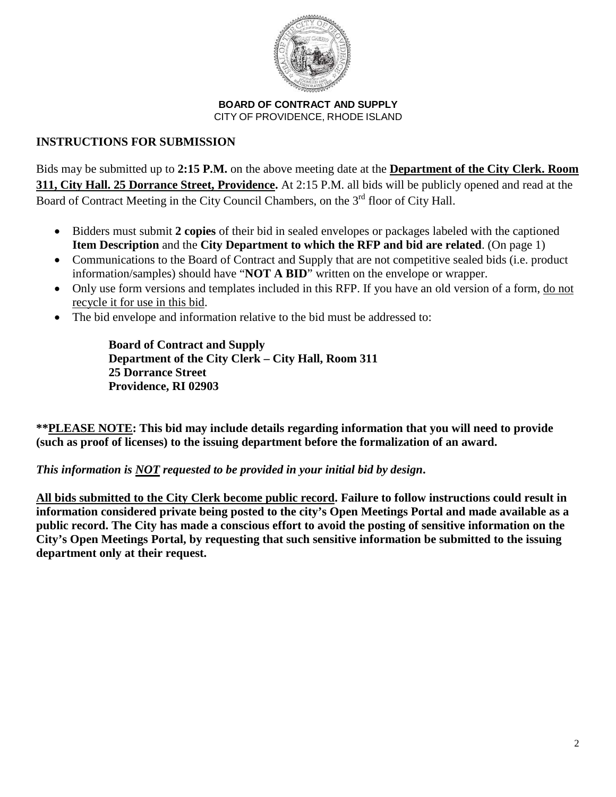

# **INSTRUCTIONS FOR SUBMISSION**

Bids may be submitted up to **2:15 P.M.** on the above meeting date at the **Department of the City Clerk. Room 311, City Hall. 25 Dorrance Street, Providence.** At 2:15 P.M. all bids will be publicly opened and read at the Board of Contract Meeting in the City Council Chambers, on the 3<sup>rd</sup> floor of City Hall.

- Bidders must submit **2 copies** of their bid in sealed envelopes or packages labeled with the captioned **Item Description** and the **City Department to which the RFP and bid are related**. (On page 1)
- Communications to the Board of Contract and Supply that are not competitive sealed bids (i.e. product information/samples) should have "**NOT A BID**" written on the envelope or wrapper.
- Only use form versions and templates included in this RFP. If you have an old version of a form, do not recycle it for use in this bid.
- The bid envelope and information relative to the bid must be addressed to:

**Board of Contract and Supply Department of the City Clerk – City Hall, Room 311 25 Dorrance Street Providence, RI 02903**

**\*\*PLEASE NOTE: This bid may include details regarding information that you will need to provide (such as proof of licenses) to the issuing department before the formalization of an award.** 

# *This information is NOT requested to be provided in your initial bid by design***.**

**All bids submitted to the City Clerk become public record. Failure to follow instructions could result in information considered private being posted to the city's Open Meetings Portal and made available as a public record. The City has made a conscious effort to avoid the posting of sensitive information on the City's Open Meetings Portal, by requesting that such sensitive information be submitted to the issuing department only at their request.**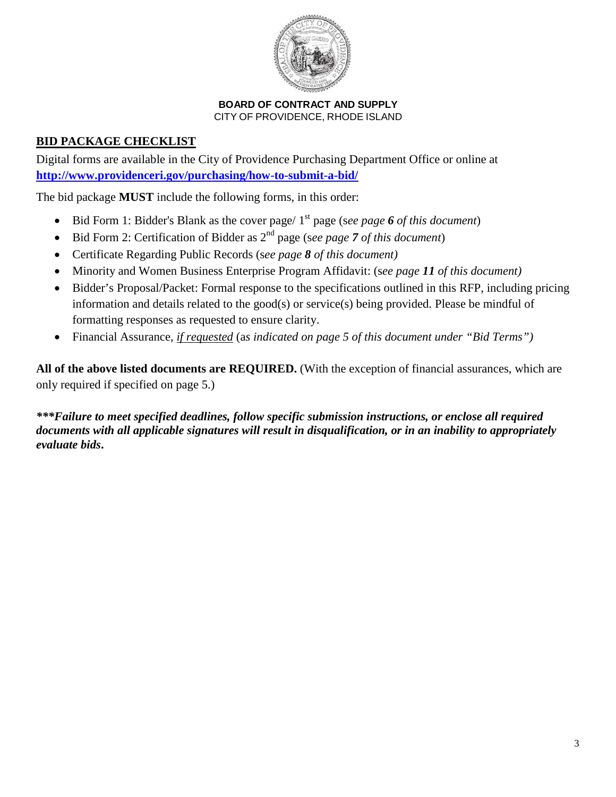

# **BID PACKAGE CHECKLIST**

Digital forms are available in the City of Providence Purchasing Department Office or online at **<http://www.providenceri.gov/purchasing/how-to-submit-a-bid/>**

The bid package **MUST** include the following forms, in this order:

- Bid Form 1: Bidder's Blank as the cover page/ 1<sup>st</sup> page (see page 6 of this document)
- Bid Form 2: Certification of Bidder as 2nd page (s*ee page 7 of this document*)
- Certificate Regarding Public Records (s*ee page 8 of this document)*
- Minority and Women Business Enterprise Program Affidavit: (s*ee page 11 of this document)*
- Bidder's Proposal/Packet: Formal response to the specifications outlined in this RFP, including pricing information and details related to the good(s) or service(s) being provided. Please be mindful of formatting responses as requested to ensure clarity.
- Financial Assurance, *if requested* (a*s indicated on page 5 of this document under "Bid Terms")*

**All of the above listed documents are REQUIRED.** (With the exception of financial assurances, which are only required if specified on page 5.)

*\*\*\*Failure to meet specified deadlines, follow specific submission instructions, or enclose all required documents with all applicable signatures will result in disqualification, or in an inability to appropriately evaluate bids***.**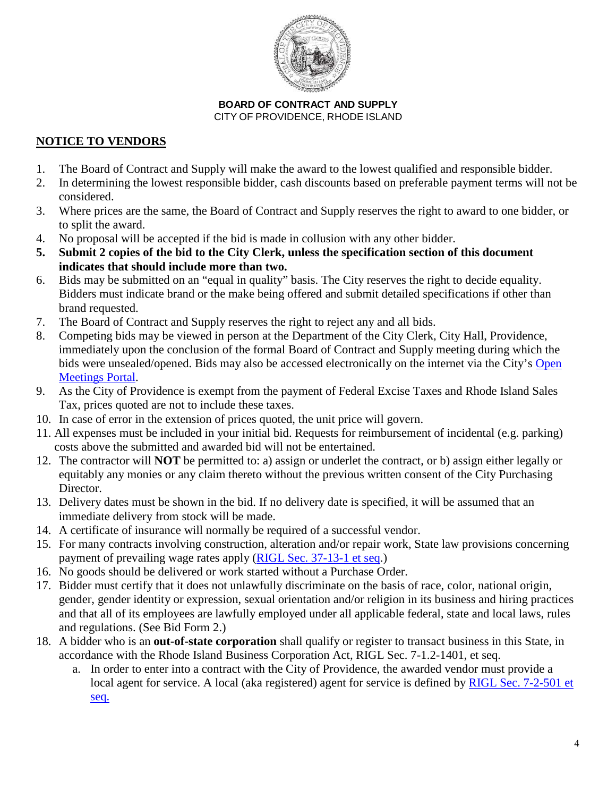

# **NOTICE TO VENDORS**

- 1. The Board of Contract and Supply will make the award to the lowest qualified and responsible bidder.
- 2. In determining the lowest responsible bidder, cash discounts based on preferable payment terms will not be considered.
- 3. Where prices are the same, the Board of Contract and Supply reserves the right to award to one bidder, or to split the award.
- 4. No proposal will be accepted if the bid is made in collusion with any other bidder.
- **5. Submit 2 copies of the bid to the City Clerk, unless the specification section of this document indicates that should include more than two.**
- 6. Bids may be submitted on an "equal in quality" basis. The City reserves the right to decide equality. Bidders must indicate brand or the make being offered and submit detailed specifications if other than brand requested.
- 7. The Board of Contract and Supply reserves the right to reject any and all bids.
- 8. Competing bids may be viewed in person at the Department of the City Clerk, City Hall, Providence, immediately upon the conclusion of the formal Board of Contract and Supply meeting during which the bids were unsealed/opened. Bids may also be accessed electronically on the internet via the City's [Open](http://providenceri.iqm2.com/Citizens/Default.aspx)  [Meetings Portal.](http://providenceri.iqm2.com/Citizens/Default.aspx)
- 9. As the City of Providence is exempt from the payment of Federal Excise Taxes and Rhode Island Sales Tax, prices quoted are not to include these taxes.
- 10. In case of error in the extension of prices quoted, the unit price will govern.
- 11. All expenses must be included in your initial bid. Requests for reimbursement of incidental (e.g. parking) costs above the submitted and awarded bid will not be entertained.
- 12. The contractor will **NOT** be permitted to: a) assign or underlet the contract, or b) assign either legally or equitably any monies or any claim thereto without the previous written consent of the City Purchasing Director.
- 13. Delivery dates must be shown in the bid. If no delivery date is specified, it will be assumed that an immediate delivery from stock will be made.
- 14. A certificate of insurance will normally be required of a successful vendor.
- 15. For many contracts involving construction, alteration and/or repair work, State law provisions concerning payment of prevailing wage rates apply [\(RIGL Sec. 37-13-1 et seq.](http://webserver.rilin.state.ri.us/Statutes/TITLE37/37-13/INDEX.HTM))
- 16. No goods should be delivered or work started without a Purchase Order.
- 17. Bidder must certify that it does not unlawfully discriminate on the basis of race, color, national origin, gender, gender identity or expression, sexual orientation and/or religion in its business and hiring practices and that all of its employees are lawfully employed under all applicable federal, state and local laws, rules and regulations. (See Bid Form 2.)
- 18. A bidder who is an **out-of-state corporation** shall qualify or register to transact business in this State, in accordance with the Rhode Island Business Corporation Act, RIGL Sec. 7-1.2-1401, et seq.
	- a. In order to enter into a contract with the City of Providence, the awarded vendor must provide a local agent for service. A local (aka registered) agent for service is defined by [RIGL Sec. 7-2-501](http://webserver.rilin.state.ri.us/Statutes/TITLE7/7-1.2/7-1.2-501.HTM) et [seq.](http://webserver.rilin.state.ri.us/Statutes/TITLE7/7-1.2/7-1.2-501.HTM)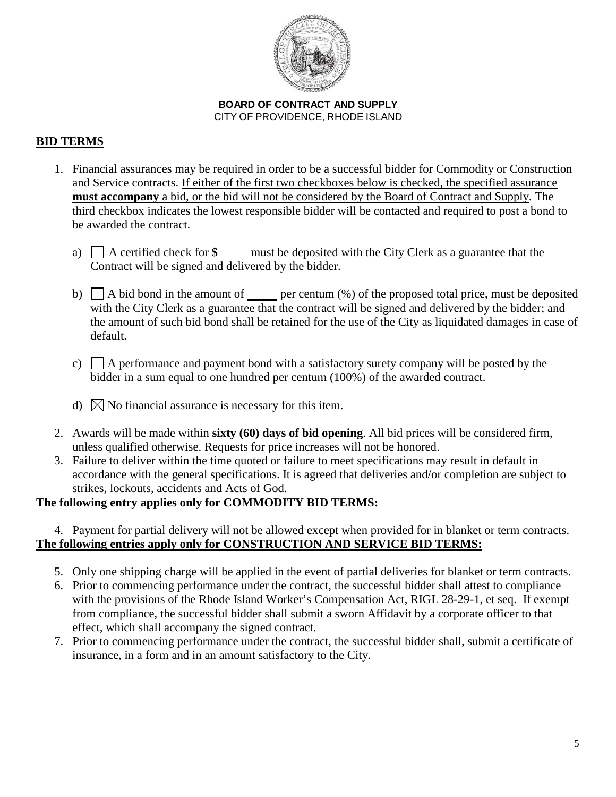

# **BID TERMS**

- 1. Financial assurances may be required in order to be a successful bidder for Commodity or Construction and Service contracts. If either of the first two checkboxes below is checked, the specified assurance **must accompany** a bid, or the bid will not be considered by the Board of Contract and Supply. The third checkbox indicates the lowest responsible bidder will be contacted and required to post a bond to be awarded the contract.
	- a)  $\Box$  A certified check for  $\$\_\_$  must be deposited with the City Clerk as a guarantee that the Contract will be signed and delivered by the bidder.
	- b)  $\Box$  A bid bond in the amount of per centum  $\degree$  of the proposed total price, must be deposited with the City Clerk as a guarantee that the contract will be signed and delivered by the bidder; and the amount of such bid bond shall be retained for the use of the City as liquidated damages in case of default.
	- c)  $\Box$  A performance and payment bond with a satisfactory surety company will be posted by the bidder in a sum equal to one hundred per centum (100%) of the awarded contract.
	- d)  $\boxtimes$  No financial assurance is necessary for this item.
- 2. Awards will be made within **sixty (60) days of bid opening**. All bid prices will be considered firm, unless qualified otherwise. Requests for price increases will not be honored.
- 3. Failure to deliver within the time quoted or failure to meet specifications may result in default in accordance with the general specifications. It is agreed that deliveries and/or completion are subject to strikes, lockouts, accidents and Acts of God.

# **The following entry applies only for COMMODITY BID TERMS:**

## 4. Payment for partial delivery will not be allowed except when provided for in blanket or term contracts. **The following entries apply only for CONSTRUCTION AND SERVICE BID TERMS:**

- 5. Only one shipping charge will be applied in the event of partial deliveries for blanket or term contracts.
- 6. Prior to commencing performance under the contract, the successful bidder shall attest to compliance with the provisions of the Rhode Island Worker's Compensation Act, RIGL 28-29-1, et seq. If exempt from compliance, the successful bidder shall submit a sworn Affidavit by a corporate officer to that effect, which shall accompany the signed contract.
- 7. Prior to commencing performance under the contract, the successful bidder shall, submit a certificate of insurance, in a form and in an amount satisfactory to the City.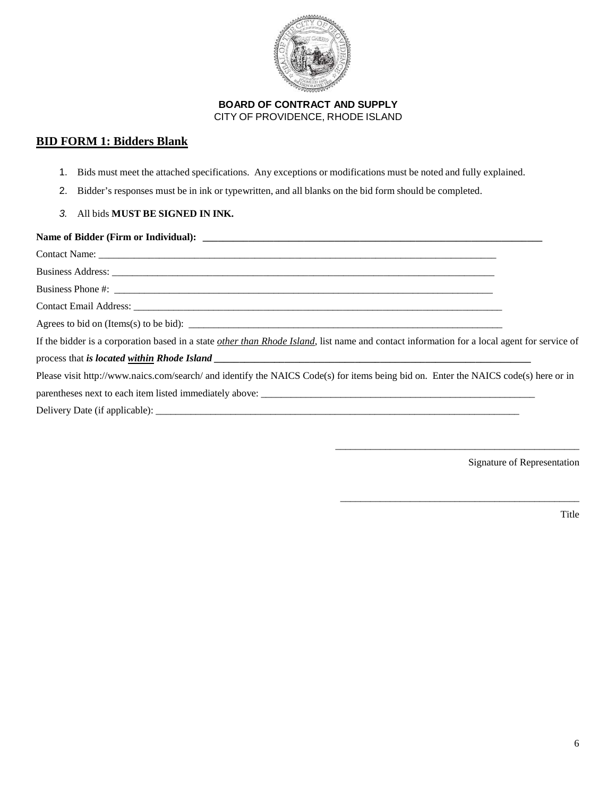

## **BID FORM 1: Bidders Blank**

- 1. Bids must meet the attached specifications. Any exceptions or modifications must be noted and fully explained.
- 2. Bidder's responses must be in ink or typewritten, and all blanks on the bid form should be completed.
- *3.* All bids **MUST BE SIGNED IN INK.**

| Agrees to bid on (Items(s) to be bid): $\sqrt{\frac{2}{1-\frac{1}{2}} + \frac{1}{2-\frac{1}{2}}}$                                           |  |
|---------------------------------------------------------------------------------------------------------------------------------------------|--|
| If the bidder is a corporation based in a state other than Rhode Island, list name and contact information for a local agent for service of |  |
|                                                                                                                                             |  |
| Please visit http://www.naics.com/search/ and identify the NAICS Code(s) for items being bid on. Enter the NAICS code(s) here or in         |  |
|                                                                                                                                             |  |
|                                                                                                                                             |  |

Delivery Date (if applicable): \_\_\_\_\_\_\_\_\_\_\_\_\_\_\_\_\_\_\_\_\_\_\_\_\_\_\_\_\_\_\_\_\_\_\_\_\_\_\_\_\_\_\_\_\_\_\_\_\_\_\_\_\_\_\_\_\_\_\_\_\_\_\_\_\_\_\_\_\_\_\_\_\_

Signature of Representation

\_\_\_\_\_\_\_\_\_\_\_\_\_\_\_\_\_\_\_\_\_\_\_\_\_\_\_\_\_\_\_\_\_\_\_\_\_\_\_\_\_\_\_\_\_\_\_\_\_

\_\_\_\_\_\_\_\_\_\_\_\_\_\_\_\_\_\_\_\_\_\_\_\_\_\_\_\_\_\_\_\_\_\_\_\_\_\_\_\_\_\_\_\_\_\_\_\_

Title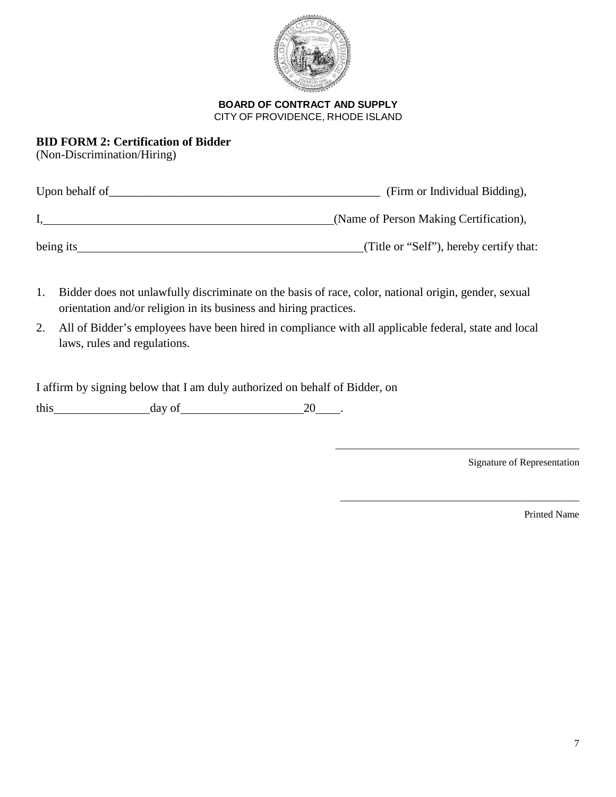

## **BID FORM 2: Certification of Bidder**

(Non-Discrimination/Hiring)

| Upon behalf of | (Firm or Individual Bidding),           |
|----------------|-----------------------------------------|
|                | (Name of Person Making Certification),  |
| being its      | (Title or "Self"), hereby certify that: |

- 1. Bidder does not unlawfully discriminate on the basis of race, color, national origin, gender, sexual orientation and/or religion in its business and hiring practices.
- 2. All of Bidder's employees have been hired in compliance with all applicable federal, state and local laws, rules and regulations.

I affirm by signing below that I am duly authorized on behalf of Bidder, on

this day of 20 .

Signature of Representation

\_\_\_\_\_\_\_\_\_\_\_\_\_\_\_\_\_\_\_\_\_\_\_\_\_\_\_\_\_\_\_\_\_\_\_\_\_\_\_\_\_\_\_\_\_\_\_\_\_

\_\_\_\_\_\_\_\_\_\_\_\_\_\_\_\_\_\_\_\_\_\_\_\_\_\_\_\_\_\_\_\_\_\_\_\_\_\_\_\_\_\_\_\_\_\_\_\_

Printed Name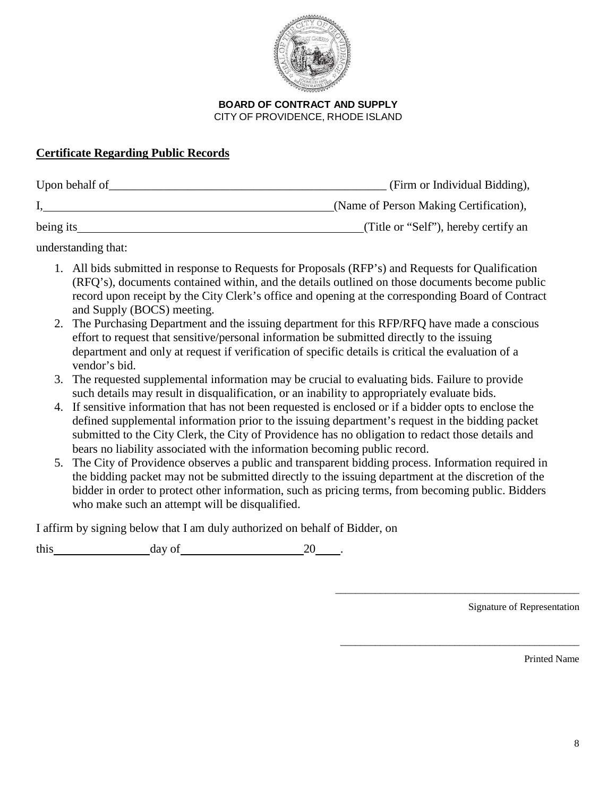

# **Certificate Regarding Public Records**

| Upon behalf of<br>(Firm or Individual Bidding), |                                        |
|-------------------------------------------------|----------------------------------------|
|                                                 | (Name of Person Making Certification), |
| being its                                       | (Title or "Self"), hereby certify an   |

understanding that:

- 1. All bids submitted in response to Requests for Proposals (RFP's) and Requests for Qualification (RFQ's), documents contained within, and the details outlined on those documents become public record upon receipt by the City Clerk's office and opening at the corresponding Board of Contract and Supply (BOCS) meeting.
- 2. The Purchasing Department and the issuing department for this RFP/RFQ have made a conscious effort to request that sensitive/personal information be submitted directly to the issuing department and only at request if verification of specific details is critical the evaluation of a vendor's bid.
- 3. The requested supplemental information may be crucial to evaluating bids. Failure to provide such details may result in disqualification, or an inability to appropriately evaluate bids.
- 4. If sensitive information that has not been requested is enclosed or if a bidder opts to enclose the defined supplemental information prior to the issuing department's request in the bidding packet submitted to the City Clerk, the City of Providence has no obligation to redact those details and bears no liability associated with the information becoming public record.
- 5. The City of Providence observes a public and transparent bidding process. Information required in the bidding packet may not be submitted directly to the issuing department at the discretion of the bidder in order to protect other information, such as pricing terms, from becoming public. Bidders who make such an attempt will be disqualified.

I affirm by signing below that I am duly authorized on behalf of Bidder, on

this day of 20

Signature of Representation

\_\_\_\_\_\_\_\_\_\_\_\_\_\_\_\_\_\_\_\_\_\_\_\_\_\_\_\_\_\_\_\_\_\_\_\_\_\_\_\_\_\_\_\_\_\_\_\_\_

\_\_\_\_\_\_\_\_\_\_\_\_\_\_\_\_\_\_\_\_\_\_\_\_\_\_\_\_\_\_\_\_\_\_\_\_\_\_\_\_\_\_\_\_\_\_\_\_

Printed Name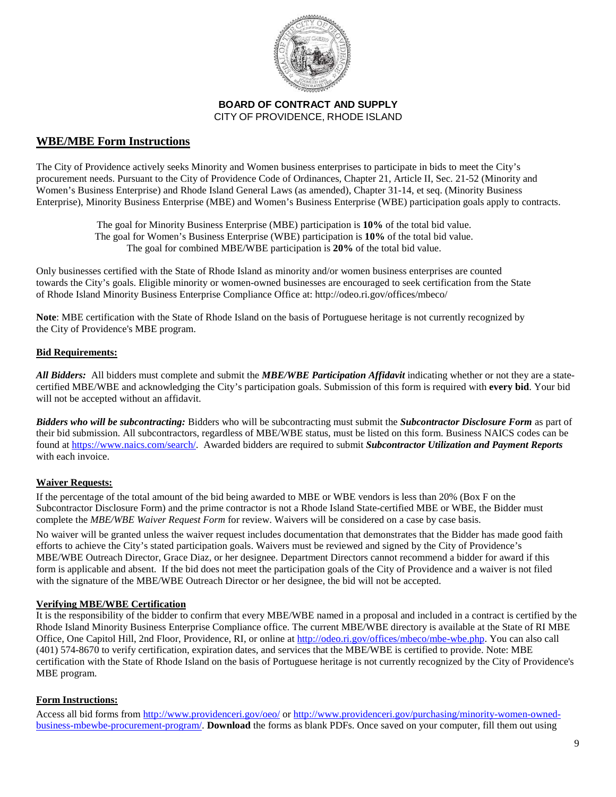

### **WBE/MBE Form Instructions**

The City of Providence actively seeks Minority and Women business enterprises to participate in bids to meet the City's procurement needs. Pursuant to the City of Providence Code of Ordinances, Chapter 21, Article II, Sec. 21-52 (Minority and Women's Business Enterprise) and Rhode Island General Laws (as amended), Chapter 31-14, et seq. (Minority Business Enterprise), Minority Business Enterprise (MBE) and Women's Business Enterprise (WBE) participation goals apply to contracts.

> The goal for Minority Business Enterprise (MBE) participation is **10%** of the total bid value. The goal for Women's Business Enterprise (WBE) participation is **10%** of the total bid value. The goal for combined MBE/WBE participation is **20%** of the total bid value.

Only businesses certified with the State of Rhode Island as minority and/or women business enterprises are counted towards the City's goals. Eligible minority or women-owned businesses are encouraged to seek certification from the State of Rhode Island Minority Business Enterprise Compliance Office at: http://odeo.ri.gov/offices/mbeco/

**Note**: MBE certification with the State of Rhode Island on the basis of Portuguese heritage is not currently recognized by the City of Providence's MBE program.

#### **Bid Requirements:**

*All Bidders:* All bidders must complete and submit the *MBE/WBE Participation Affidavit* indicating whether or not they are a statecertified MBE/WBE and acknowledging the City's participation goals. Submission of this form is required with **every bid**. Your bid will not be accepted without an affidavit.

*Bidders who will be subcontracting:* Bidders who will be subcontracting must submit the *Subcontractor Disclosure Form* as part of their bid submission. All subcontractors, regardless of MBE/WBE status, must be listed on this form. Business NAICS codes can be found a[t https://www.naics.com/search/.](https://www.naics.com/search/) Awarded bidders are required to submit *Subcontractor Utilization and Payment Reports* with each invoice.

#### **Waiver Requests:**

If the percentage of the total amount of the bid being awarded to MBE or WBE vendors is less than 20% (Box F on the Subcontractor Disclosure Form) and the prime contractor is not a Rhode Island State-certified MBE or WBE, the Bidder must complete the *MBE/WBE Waiver Request Form* for review. Waivers will be considered on a case by case basis.

No waiver will be granted unless the waiver request includes documentation that demonstrates that the Bidder has made good faith efforts to achieve the City's stated participation goals. Waivers must be reviewed and signed by the City of Providence's MBE/WBE Outreach Director, Grace Diaz, or her designee. Department Directors cannot recommend a bidder for award if this form is applicable and absent. If the bid does not meet the participation goals of the City of Providence and a waiver is not filed with the signature of the MBE/WBE Outreach Director or her designee, the bid will not be accepted.

#### **Verifying MBE/WBE Certification**

It is the responsibility of the bidder to confirm that every MBE/WBE named in a proposal and included in a contract is certified by the Rhode Island Minority Business Enterprise Compliance office. The current MBE/WBE directory is available at the State of RI MBE Office, One Capitol Hill, 2nd Floor, Providence, RI, or online at [http://odeo.ri.gov/offices/mbeco/mbe-wbe.php.](http://www.mbe.ri.gov/) You can also call (401) 574-8670 to verify certification, expiration dates, and services that the MBE/WBE is certified to provide. Note: MBE certification with the State of Rhode Island on the basis of Portuguese heritage is not currently recognized by the City of Providence's MBE program.

#### **Form Instructions:**

Access all bid forms from<http://www.providenceri.gov/oeo/> or [http://www.providenceri.gov/purchasing/minority-women-owned](http://www.providenceri.gov/purchasing/minority-women-owned-business-mbewbe-procurement-program/)[business-mbewbe-procurement-program/.](http://www.providenceri.gov/purchasing/minority-women-owned-business-mbewbe-procurement-program/) **Download** the forms as blank PDFs. Once saved on your computer, fill them out using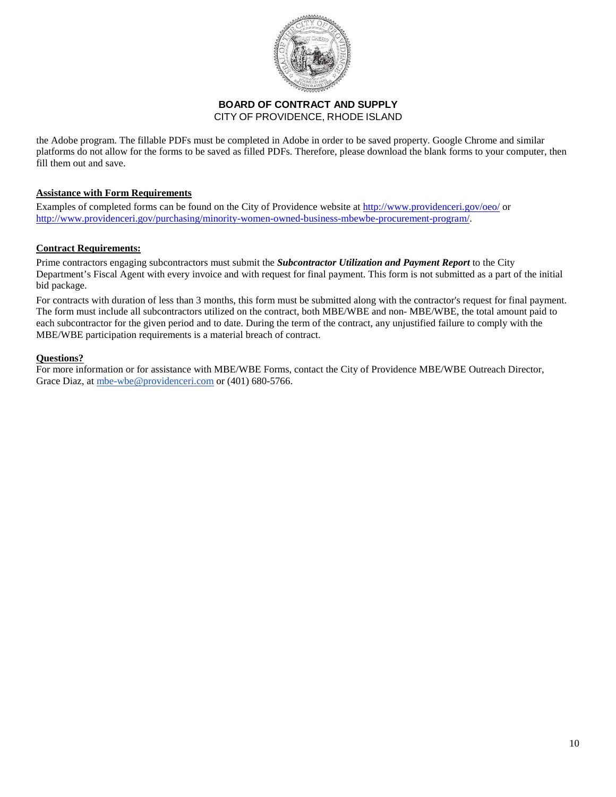

the Adobe program. The fillable PDFs must be completed in Adobe in order to be saved property. Google Chrome and similar platforms do not allow for the forms to be saved as filled PDFs. Therefore, please download the blank forms to your computer, then fill them out and save.

#### **Assistance with Form Requirements**

Examples of completed forms can be found on the City of Providence website at<http://www.providenceri.gov/oeo/> or [http://www.providenceri.gov/purchasing/minority-women-owned-business-mbewbe-procurement-program/.](http://www.providenceri.gov/purchasing/minority-women-owned-business-mbewbe-procurement-program/)

#### **Contract Requirements:**

Prime contractors engaging subcontractors must submit the *Subcontractor Utilization and Payment Report* to the City Department's Fiscal Agent with every invoice and with request for final payment. This form is not submitted as a part of the initial bid package.

For contracts with duration of less than 3 months, this form must be submitted along with the contractor's request for final payment. The form must include all subcontractors utilized on the contract, both MBE/WBE and non- MBE/WBE, the total amount paid to each subcontractor for the given period and to date. During the term of the contract, any unjustified failure to comply with the MBE/WBE participation requirements is a material breach of contract.

#### **Questions?**

For more information or for assistance with MBE/WBE Forms, contact the City of Providence MBE/WBE Outreach Director, Grace Diaz, at [mbe-wbe@providenceri.com](mailto:mbe-wbe@providenceri.com) or (401) 680-5766.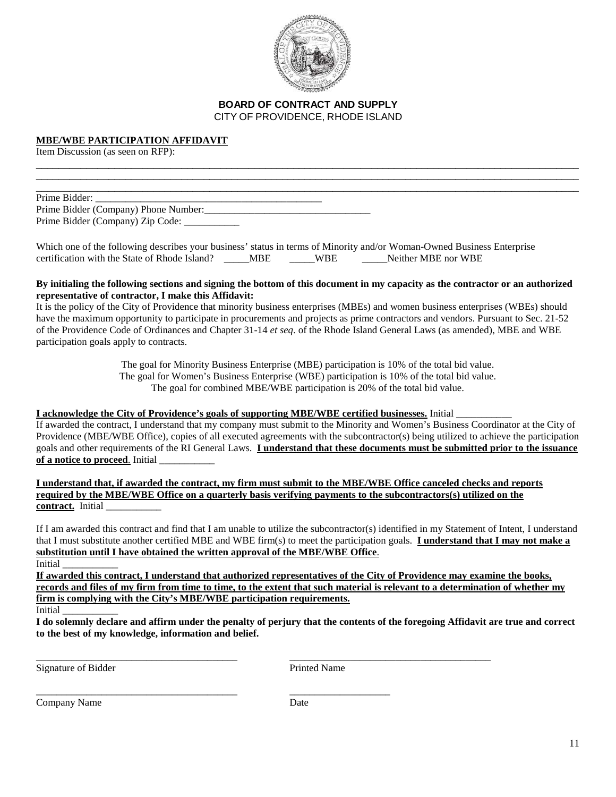

\_\_\_\_\_\_\_\_\_\_\_\_\_\_\_\_\_\_\_\_\_\_\_\_\_\_\_\_\_\_\_\_\_\_\_\_\_\_\_\_\_\_\_\_\_\_\_\_\_\_\_\_\_\_\_\_\_\_\_\_\_\_\_\_\_\_\_\_\_\_\_\_\_\_\_\_\_\_\_\_\_\_\_\_\_\_\_\_\_\_\_\_\_\_\_\_\_ \_\_\_\_\_\_\_\_\_\_\_\_\_\_\_\_\_\_\_\_\_\_\_\_\_\_\_\_\_\_\_\_\_\_\_\_\_\_\_\_\_\_\_\_\_\_\_\_\_\_\_\_\_\_\_\_\_\_\_\_\_\_\_\_\_\_\_\_\_\_\_\_\_\_\_\_\_\_\_\_\_\_\_\_\_\_\_\_\_\_\_\_\_\_\_\_\_

#### **MBE/WBE PARTICIPATION AFFIDAVIT**

Item Discussion (as seen on RFP):

\_\_\_\_\_\_\_\_\_\_\_\_\_\_\_\_\_\_\_\_\_\_\_\_\_\_\_\_\_\_\_\_\_\_\_\_\_\_\_\_\_\_\_\_\_\_\_\_\_\_\_\_\_\_\_\_\_\_\_\_\_\_\_\_\_\_\_\_\_\_\_\_\_\_\_\_\_\_\_\_\_\_\_\_\_\_\_\_\_\_\_\_\_\_\_\_\_ Prime Bidder: Prime Bidder (Company) Phone Number: Prime Bidder (Company) Zip Code: \_\_\_\_\_\_\_\_\_\_\_

Which one of the following describes your business' status in terms of Minority and/or Woman-Owned Business Enterprise certification with the State of Rhode Island? \_\_\_\_\_MBE \_\_\_\_\_WBE \_\_\_\_\_\_Neither MBE nor WBE

#### **By initialing the following sections and signing the bottom of this document in my capacity as the contractor or an authorized representative of contractor, I make this Affidavit:**

It is the policy of the City of Providence that minority business enterprises (MBEs) and women business enterprises (WBEs) should have the maximum opportunity to participate in procurements and projects as prime contractors and vendors. Pursuant to Sec. 21-52 of the Providence Code of Ordinances and Chapter 31-14 *et seq*. of the Rhode Island General Laws (as amended), MBE and WBE participation goals apply to contracts.

> The goal for Minority Business Enterprise (MBE) participation is 10% of the total bid value. The goal for Women's Business Enterprise (WBE) participation is 10% of the total bid value. The goal for combined MBE/WBE participation is 20% of the total bid value.

#### **I acknowledge the City of Providence's goals of supporting MBE/WBE certified businesses.** Initial \_\_\_\_\_\_\_\_\_\_\_

If awarded the contract, I understand that my company must submit to the Minority and Women's Business Coordinator at the City of Providence (MBE/WBE Office), copies of all executed agreements with the subcontractor(s) being utilized to achieve the participation goals and other requirements of the RI General Laws. **I understand that these documents must be submitted prior to the issuance of a notice to proceed**. Initial \_\_\_\_\_\_\_\_\_\_\_

**I understand that, if awarded the contract, my firm must submit to the MBE/WBE Office canceled checks and reports required by the MBE/WBE Office on a quarterly basis verifying payments to the subcontractors(s) utilized on the**  contract. Initial

If I am awarded this contract and find that I am unable to utilize the subcontractor(s) identified in my Statement of Intent, I understand that I must substitute another certified MBE and WBE firm(s) to meet the participation goals. **I understand that I may not make a substitution until I have obtained the written approval of the MBE/WBE Office**. Initial \_\_\_\_\_\_\_\_\_\_\_

**If awarded this contract, I understand that authorized representatives of the City of Providence may examine the books, records and files of my firm from time to time, to the extent that such material is relevant to a determination of whether my firm is complying with the City's MBE/WBE participation requirements.** 

Initial \_\_\_\_\_\_\_\_\_\_\_

**I do solemnly declare and affirm under the penalty of perjury that the contents of the foregoing Affidavit are true and correct to the best of my knowledge, information and belief.**

Signature of Bidder Printed Name

\_\_\_\_\_\_\_\_\_\_\_\_\_\_\_\_\_\_\_\_\_\_\_\_\_\_\_\_\_\_\_\_\_\_\_\_\_\_\_\_ \_\_\_\_\_\_\_\_\_\_\_\_\_\_\_\_\_\_\_\_\_\_\_\_\_\_\_\_\_\_\_\_\_\_\_\_\_\_\_\_

\_\_\_\_\_\_\_\_\_\_\_\_\_\_\_\_\_\_\_\_\_\_\_\_\_\_\_\_\_\_\_\_\_\_\_\_\_\_\_\_ \_\_\_\_\_\_\_\_\_\_\_\_\_\_\_\_\_\_\_\_ Company Name Date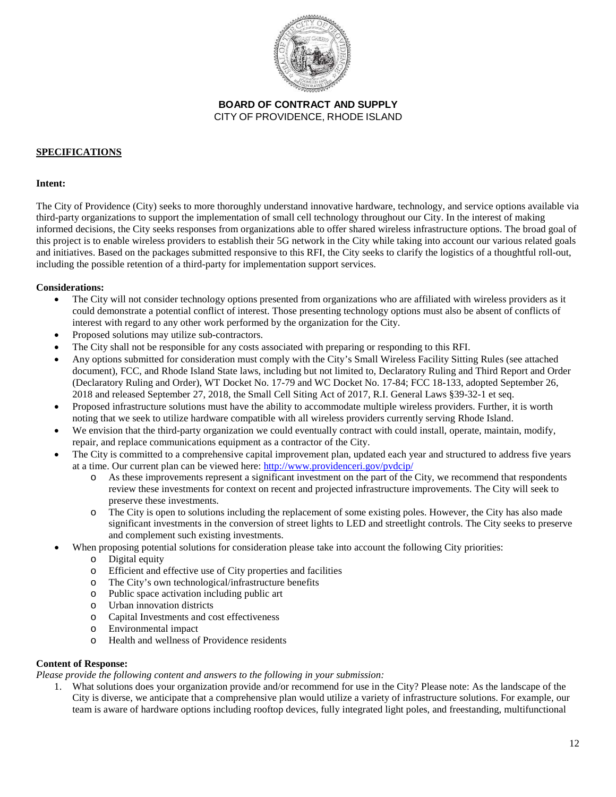

#### **SPECIFICATIONS**

#### **Intent:**

The City of Providence (City) seeks to more thoroughly understand innovative hardware, technology, and service options available via third-party organizations to support the implementation of small cell technology throughout our City. In the interest of making informed decisions, the City seeks responses from organizations able to offer shared wireless infrastructure options. The broad goal of this project is to enable wireless providers to establish their 5G network in the City while taking into account our various related goals and initiatives. Based on the packages submitted responsive to this RFI, the City seeks to clarify the logistics of a thoughtful roll-out, including the possible retention of a third-party for implementation support services.

#### **Considerations:**

- The City will not consider technology options presented from organizations who are affiliated with wireless providers as it could demonstrate a potential conflict of interest. Those presenting technology options must also be absent of conflicts of interest with regard to any other work performed by the organization for the City.
- Proposed solutions may utilize sub-contractors.
- The City shall not be responsible for any costs associated with preparing or responding to this RFI.
- Any options submitted for consideration must comply with the City's Small Wireless Facility Sitting Rules (see attached document), FCC, and Rhode Island State laws, including but not limited to, Declaratory Ruling and Third Report and Order (Declaratory Ruling and Order), WT Docket No. 17-79 and WC Docket No. 17-84; FCC 18-133, adopted September 26, 2018 and released September 27, 2018, the Small Cell Siting Act of 2017, R.I. General Laws §39-32-1 et seq.
- Proposed infrastructure solutions must have the ability to accommodate multiple wireless providers. Further, it is worth noting that we seek to utilize hardware compatible with all wireless providers currently serving Rhode Island.
- We envision that the third-party organization we could eventually contract with could install, operate, maintain, modify, repair, and replace communications equipment as a contractor of the City.
- The City is committed to a comprehensive capital improvement plan, updated each year and structured to address five years at a time. Our current plan can be viewed here:<http://www.providenceri.gov/pvdcip/>
	- o As these improvements represent a significant investment on the part of the City, we recommend that respondents review these investments for context on recent and projected infrastructure improvements. The City will seek to preserve these investments.
	- o The City is open to solutions including the replacement of some existing poles. However, the City has also made significant investments in the conversion of street lights to LED and streetlight controls. The City seeks to preserve and complement such existing investments.
- When proposing potential solutions for consideration please take into account the following City priorities:
	- o Digital equity
	- o Efficient and effective use of City properties and facilities
	- o The City's own technological/infrastructure benefits
	- o Public space activation including public art
	- o Urban innovation districts
	- o Capital Investments and cost effectiveness
	- o Environmental impact
	- Health and wellness of Providence residents

#### **Content of Response:**

*Please provide the following content and answers to the following in your submission:*

1. What solutions does your organization provide and/or recommend for use in the City? Please note: As the landscape of the City is diverse, we anticipate that a comprehensive plan would utilize a variety of infrastructure solutions. For example, our team is aware of hardware options including rooftop devices, fully integrated light poles, and freestanding, multifunctional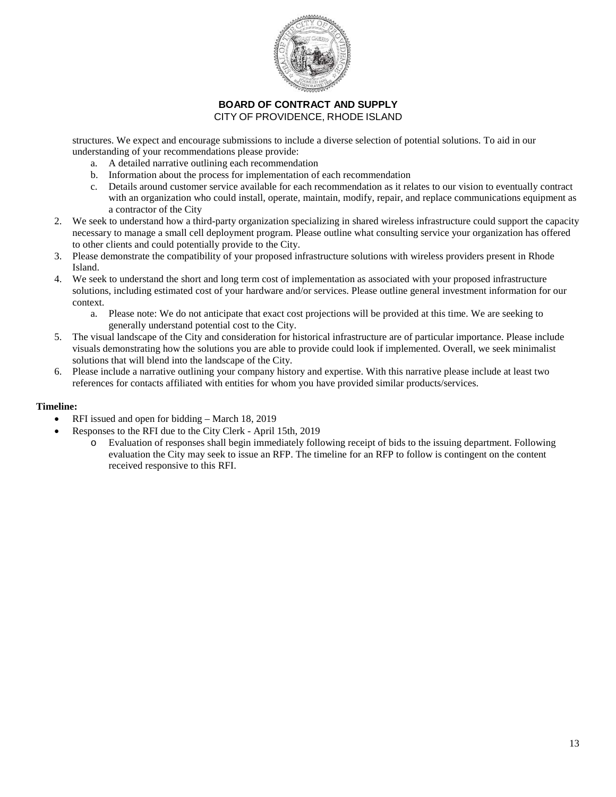

structures. We expect and encourage submissions to include a diverse selection of potential solutions. To aid in our understanding of your recommendations please provide:

- a. A detailed narrative outlining each recommendation
- b. Information about the process for implementation of each recommendation
- c. Details around customer service available for each recommendation as it relates to our vision to eventually contract with an organization who could install, operate, maintain, modify, repair, and replace communications equipment as a contractor of the City
- 2. We seek to understand how a third-party organization specializing in shared wireless infrastructure could support the capacity necessary to manage a small cell deployment program. Please outline what consulting service your organization has offered to other clients and could potentially provide to the City.
- 3. Please demonstrate the compatibility of your proposed infrastructure solutions with wireless providers present in Rhode Island.
- 4. We seek to understand the short and long term cost of implementation as associated with your proposed infrastructure solutions, including estimated cost of your hardware and/or services. Please outline general investment information for our context.
	- a. Please note: We do not anticipate that exact cost projections will be provided at this time. We are seeking to generally understand potential cost to the City.
- 5. The visual landscape of the City and consideration for historical infrastructure are of particular importance. Please include visuals demonstrating how the solutions you are able to provide could look if implemented. Overall, we seek minimalist solutions that will blend into the landscape of the City.
- 6. Please include a narrative outlining your company history and expertise. With this narrative please include at least two references for contacts affiliated with entities for whom you have provided similar products/services.

#### **Timeline:**

- RFI issued and open for bidding March 18, 2019
- Responses to the RFI due to the City Clerk April 15th, 2019
	- o Evaluation of responses shall begin immediately following receipt of bids to the issuing department. Following evaluation the City may seek to issue an RFP. The timeline for an RFP to follow is contingent on the content received responsive to this RFI.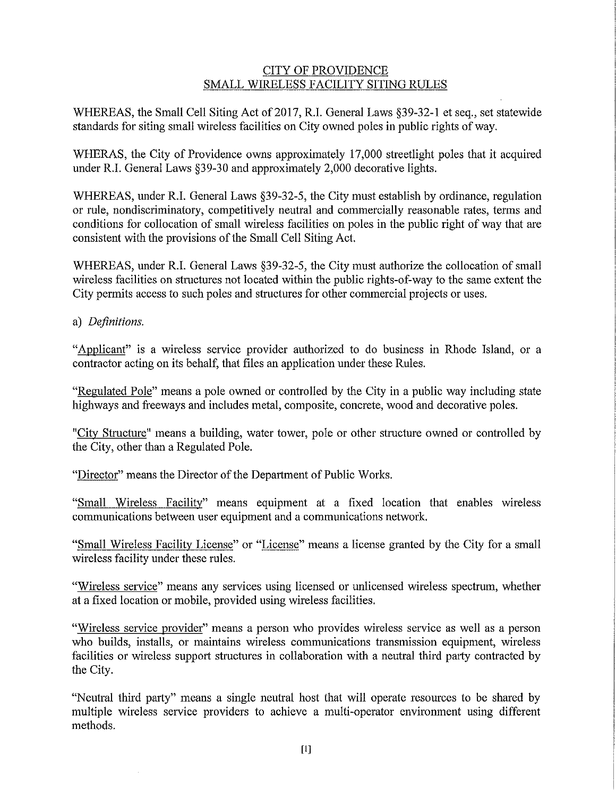## **CITY OF PROVIDENCE** SMALL WIRELESS FACILITY SITING RULES

WHEREAS, the Small Cell Siting Act of 2017, R.I. General Laws §39-32-1 et seq., set statewide standards for siting small wireless facilities on City owned poles in public rights of way.

WHERAS, the City of Providence owns approximately 17,000 streetlight poles that it acquired under R.I. General Laws §39-30 and approximately 2,000 decorative lights.

WHEREAS, under R.I. General Laws §39-32-5, the City must establish by ordinance, regulation or rule, nondiscriminatory, competitively neutral and commercially reasonable rates, terms and conditions for collocation of small wireless facilities on poles in the public right of way that are consistent with the provisions of the Small Cell Siting Act.

WHEREAS, under R.I. General Laws §39-32-5, the City must authorize the collocation of small wireless facilities on structures not located within the public rights-of-way to the same extent the City permits access to such poles and structures for other commercial projects or uses.

a) Definitions.

"Applicant" is a wireless service provider authorized to do business in Rhode Island, or a contractor acting on its behalf, that files an application under these Rules.

"Regulated Pole" means a pole owned or controlled by the City in a public way including state highways and freeways and includes metal, composite, concrete, wood and decorative poles.

"City Structure" means a building, water tower, pole or other structure owned or controlled by the City, other than a Regulated Pole.

"Director" means the Director of the Department of Public Works.

"Small Wireless Facility" means equipment at a fixed location that enables wireless communications between user equipment and a communications network.

"Small Wireless Facility License" or "License" means a license granted by the City for a small wireless facility under these rules.

"Wireless service" means any services using licensed or unlicensed wireless spectrum, whether at a fixed location or mobile, provided using wireless facilities.

"Wireless service provider" means a person who provides wireless service as well as a person who builds, installs, or maintains wireless communications transmission equipment, wireless facilities or wireless support structures in collaboration with a neutral third party contracted by the City.

"Neutral third party" means a single neutral host that will operate resources to be shared by multiple wireless service providers to achieve a multi-operator environment using different methods.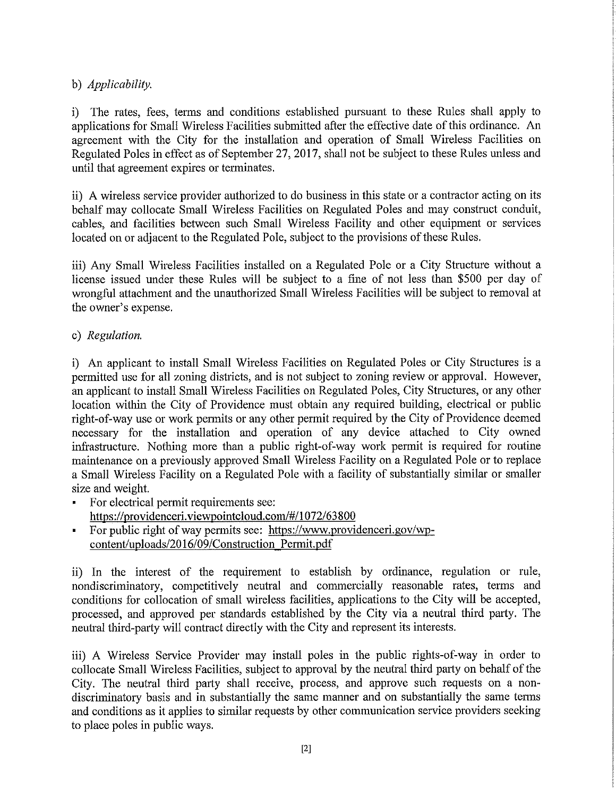# b) Applicability.

i) The rates, fees, terms and conditions established pursuant to these Rules shall apply to applications for Small Wireless Facilities submitted after the effective date of this ordinance. An agreement with the City for the installation and operation of Small Wireless Facilities on Regulated Poles in effect as of September 27, 2017, shall not be subject to these Rules unless and until that agreement expires or terminates.

ii) A wireless service provider authorized to do business in this state or a contractor acting on its behalf may collocate Small Wireless Facilities on Regulated Poles and may construct conduit, cables, and facilities between such Small Wireless Facility and other equipment or services located on or adjacent to the Regulated Pole, subject to the provisions of these Rules.

iii) Any Small Wireless Facilities installed on a Regulated Pole or a City Structure without a license issued under these Rules will be subject to a fine of not less than \$500 per day of wrongful attachment and the unauthorized Small Wireless Facilities will be subject to removal at the owner's expense.

c) Regulation.

i) An applicant to install Small Wireless Facilities on Regulated Poles or City Structures is a permitted use for all zoning districts, and is not subject to zoning review or approval. However, an applicant to install Small Wireless Facilities on Regulated Poles, City Structures, or any other location within the City of Providence must obtain any required building, electrical or public right-of-way use or work permits or any other permit required by the City of Providence deemed necessary for the installation and operation of any device attached to City owned infrastructure. Nothing more than a public right-of-way work permit is required for routine maintenance on a previously approved Small Wireless Facility on a Regulated Pole or to replace a Small Wireless Facility on a Regulated Pole with a facility of substantially similar or smaller size and weight.

- For electrical permit requirements see: https://providenceri.viewpointcloud.com/#/1072/63800
- For public right of way permits see: https://www.providenceri.gov/wpcontent/uploads/2016/09/Construction Permit.pdf

ii) In the interest of the requirement to establish by ordinance, regulation or rule, nondiscriminatory, competitively neutral and commercially reasonable rates, terms and conditions for collocation of small wireless facilities, applications to the City will be accepted, processed, and approved per standards established by the City via a neutral third party. The neutral third-party will contract directly with the City and represent its interests.

iii) A Wireless Service Provider may install poles in the public rights-of-way in order to collocate Small Wireless Facilities, subject to approval by the neutral third party on behalf of the City. The neutral third party shall receive, process, and approve such requests on a nondiscriminatory basis and in substantially the same manner and on substantially the same terms and conditions as it applies to similar requests by other communication service providers seeking to place poles in public ways.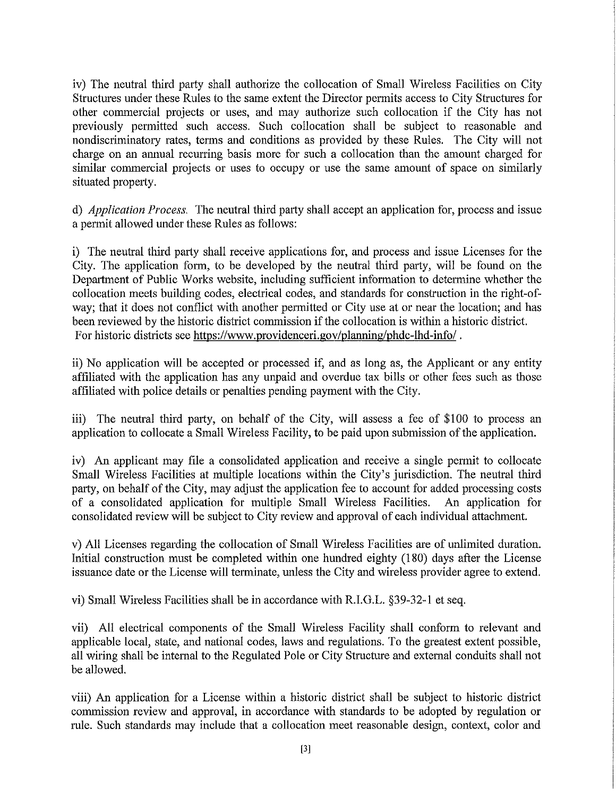iv) The neutral third party shall authorize the collocation of Small Wireless Facilities on City Structures under these Rules to the same extent the Director permits access to City Structures for other commercial projects or uses, and may authorize such collocation if the City has not previously permitted such access. Such collocation shall be subject to reasonable and nondiscriminatory rates, terms and conditions as provided by these Rules. The City will not charge on an annual recurring basis more for such a collocation than the amount charged for similar commercial projects or uses to occupy or use the same amount of space on similarly situated property.

d) *Application Process*. The neutral third party shall accept an application for, process and issue a permit allowed under these Rules as follows:

i) The neutral third party shall receive applications for, and process and issue Licenses for the City. The application form, to be developed by the neutral third party, will be found on the Department of Public Works website, including sufficient information to determine whether the collocation meets building codes, electrical codes, and standards for construction in the right-ofway; that it does not conflict with another permitted or City use at or near the location; and has been reviewed by the historic district commission if the collocation is within a historic district. For historic districts see https://www.providenceri.gov/planning/phdc-lhd-info/.

ii) No application will be accepted or processed if, and as long as, the Applicant or any entity affiliated with the application has any unpaid and overdue tax bills or other fees such as those affiliated with police details or penalties pending payment with the City.

iii) The neutral third party, on behalf of the City, will assess a fee of \$100 to process an application to collocate a Small Wireless Facility, to be paid upon submission of the application.

iv) An applicant may file a consolidated application and receive a single permit to collocate Small Wireless Facilities at multiple locations within the City's jurisdiction. The neutral third party, on behalf of the City, may adjust the application fee to account for added processing costs of a consolidated application for multiple Small Wireless Facilities. An application for consolidated review will be subject to City review and approval of each individual attachment.

v) All Licenses regarding the collocation of Small Wireless Facilities are of unlimited duration. Initial construction must be completed within one hundred eighty (180) days after the License issuance date or the License will terminate, unless the City and wireless provider agree to extend.

vi) Small Wireless Facilities shall be in accordance with R.I.G.L. §39-32-1 et seq.

vii) All electrical components of the Small Wireless Facility shall conform to relevant and applicable local, state, and national codes, laws and regulations. To the greatest extent possible, all wiring shall be internal to the Regulated Pole or City Structure and external conduits shall not be allowed.

viii) An application for a License within a historic district shall be subject to historic district commission review and approval, in accordance with standards to be adopted by regulation or rule. Such standards may include that a collocation meet reasonable design, context, color and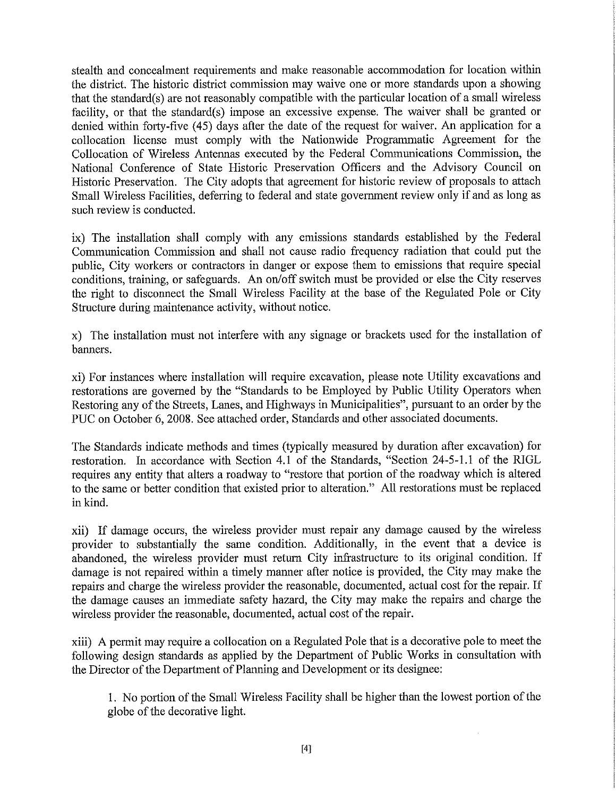stealth and concealment requirements and make reasonable accommodation for location within the district. The historic district commission may waive one or more standards upon a showing that the standard(s) are not reasonably compatible with the particular location of a small wireless facility, or that the standard(s) impose an excessive expense. The waiver shall be granted or denied within forty-five (45) days after the date of the request for waiver. An application for a collocation license must comply with the Nationwide Programmatic Agreement for the Collocation of Wireless Antennas executed by the Federal Communications Commission, the National Conference of State Historic Preservation Officers and the Advisory Council on Historic Preservation. The City adopts that agreement for historic review of proposals to attach Small Wireless Facilities, deferring to federal and state government review only if and as long as such review is conducted.

ix) The installation shall comply with any emissions standards established by the Federal Communication Commission and shall not cause radio frequency radiation that could put the public. City workers or contractors in danger or expose them to emissions that require special conditions, training, or safeguards. An on/off switch must be provided or else the City reserves the right to disconnect the Small Wireless Facility at the base of the Regulated Pole or City Structure during maintenance activity, without notice.

x) The installation must not interfere with any signage or brackets used for the installation of banners.

xi) For instances where installation will require excavation, please note Utility excavations and restorations are governed by the "Standards to be Employed by Public Utility Operators when Restoring any of the Streets, Lanes, and Highways in Municipalities", pursuant to an order by the PUC on October 6, 2008. See attached order, Standards and other associated documents.

The Standards indicate methods and times (typically measured by duration after excavation) for restoration. In accordance with Section 4.1 of the Standards, "Section 24-5-1.1 of the RIGL requires any entity that alters a roadway to "restore that portion of the roadway which is altered to the same or better condition that existed prior to alteration." All restorations must be replaced in kind.

xii) If damage occurs, the wireless provider must repair any damage caused by the wireless provider to substantially the same condition. Additionally, in the event that a device is abandoned, the wireless provider must return City infrastructure to its original condition. If damage is not repaired within a timely manner after notice is provided, the City may make the repairs and charge the wireless provider the reasonable, documented, actual cost for the repair. If the damage causes an immediate safety hazard, the City may make the repairs and charge the wireless provider the reasonable, documented, actual cost of the repair.

xiii) A permit may require a collocation on a Regulated Pole that is a decorative pole to meet the following design standards as applied by the Department of Public Works in consultation with the Director of the Department of Planning and Development or its designee:

1. No portion of the Small Wireless Facility shall be higher than the lowest portion of the globe of the decorative light.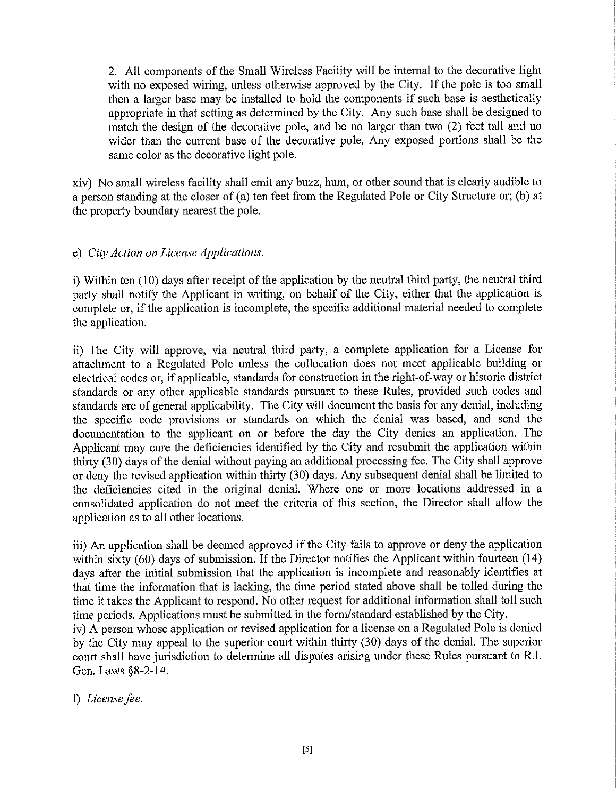2. All components of the Small Wireless Facility will be internal to the decorative light with no exposed wiring, unless otherwise approved by the City. If the pole is too small then a larger base may be installed to hold the components if such base is aesthetically appropriate in that setting as determined by the City. Any such base shall be designed to match the design of the decorative pole, and be no larger than two (2) feet tall and no wider than the current base of the decorative pole. Any exposed portions shall be the same color as the decorative light pole.

xiv) No small wireless facility shall emit any buzz, hum, or other sound that is clearly audible to a person standing at the closer of (a) ten feet from the Regulated Pole or City Structure or; (b) at the property boundary nearest the pole.

# e) City Action on License Applications.

i) Within ten (10) days after receipt of the application by the neutral third party, the neutral third party shall notify the Applicant in writing, on behalf of the City, either that the application is complete or, if the application is incomplete, the specific additional material needed to complete the application.

ii) The City will approve, via neutral third party, a complete application for a License for attachment to a Regulated Pole unless the collocation does not meet applicable building or electrical codes or, if applicable, standards for construction in the right-of-way or historic district standards or any other applicable standards pursuant to these Rules, provided such codes and standards are of general applicability. The City will document the basis for any denial, including the specific code provisions or standards on which the denial was based, and send the documentation to the applicant on or before the day the City denies an application. The Applicant may cure the deficiencies identified by the City and resubmit the application within thirty (30) days of the denial without paying an additional processing fee. The City shall approve or deny the revised application within thirty (30) days. Any subsequent denial shall be limited to the deficiencies cited in the original denial. Where one or more locations addressed in a consolidated application do not meet the criteria of this section, the Director shall allow the application as to all other locations.

iii) An application shall be deemed approved if the City fails to approve or deny the application within sixty (60) days of submission. If the Director notifies the Applicant within fourteen (14) days after the initial submission that the application is incomplete and reasonably identifies at that time the information that is lacking, the time period stated above shall be tolled during the time it takes the Applicant to respond. No other request for additional information shall toll such time periods. Applications must be submitted in the form/standard established by the City.

iv) A person whose application or revised application for a license on a Regulated Pole is denied by the City may appeal to the superior court within thirty (30) days of the denial. The superior court shall have jurisdiction to determine all disputes arising under these Rules pursuant to R.I. Gen. Laws §8-2-14.

f) License fee.